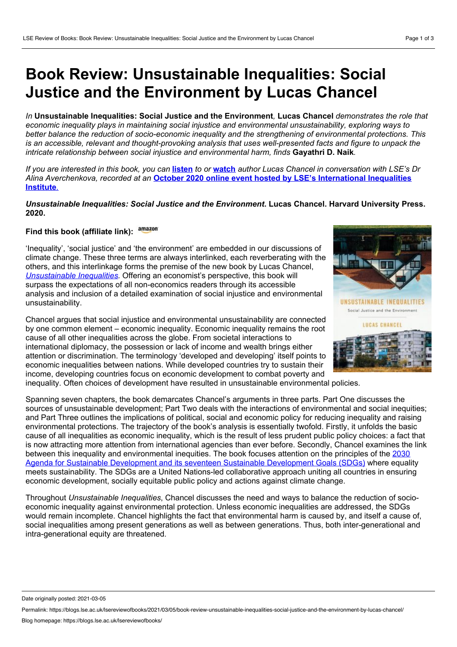## **Book Review: Unsustainable Inequalities: Social Justice and the Environment by Lucas Chancel**

*In* **Unsustainable Inequalities: Social Justice and the Environment***,* **Lucas Chancel** *demonstrates the role that economic inequality plays in maintaining social injustice and environmental unsustainability, exploring ways to better balance the reduction of socio-economic inequality and the strengthening of environmental protections. This* is an accessible, relevant and thought-provoking analysis that uses well-presented facts and figure to unpack the *intricate relationship between social injustice and environmental harm, finds* **Gayathri D. Naik***.*

If you are interested in this book, you can [listen](https://richmedia.lse.ac.uk/inequalitiesinstitute/20201012_LSEIIIunsustainableInequalities.mp3) to or [watch](https://richmedia.lse.ac.uk/iga/20201020_unsustainableInequalities.mp4) author Lucas Chancel in conversation with LSE's Dr *Alina [Averchenkova,](https://www.lse.ac.uk/International-Inequalities/Events/Unsustainable-Inequalities-Social-Justice-and-the/Unsustainable-Inequalities-Social-Justice-and-the-Environment) recorded at an* **October 2020 online event hosted by LSE's International Inequalities Institute***[.](https://www.lse.ac.uk/International-Inequalities/Events/Unsustainable-Inequalities-Social-Justice-and-the/Unsustainable-Inequalities-Social-Justice-and-the-Environment)*

*Unsustainable Inequalities: Social Justice and the Environment***. Lucas Chancel. Harvard University Press. 2020.**

## **Find this book (affiliate link):**

'Inequality', 'social justice' and 'the environment' are embedded in our discussions of climate change. These three terms are always interlinked, each reverberating with the others, and this interlinkage forms the premise of the new book by Lucas Chancel, *[Unsustainable](https://www.hup.harvard.edu/catalog.php?isbn=9780674984653) Inequalities*. Offering an economist's perspective, this book will surpass the expectations of all non-economics readers through its accessible analysis and inclusion of a detailed examination of social injustice and environmental unsustainability.

Chancel argues that social injustice and environmental unsustainability are connected by one common element – economic inequality. Economic inequality remains the root cause of all other inequalities across the globe. From societal interactions to international diplomacy, the possession or lack of income and wealth brings either attention or discrimination. The terminology 'developed and developing' itself points to economic inequalities between nations. While developed countries try to sustain their income, developing countries focus on economic development to combat poverty and inequality. Often choices of development have resulted in unsustainable environmental policies.

Spanning seven chapters, the book demarcates Chancel's arguments in three parts. Part One discusses the sources of unsustainable development; Part Two deals with the interactions of environmental and social inequities; and Part Three outlines the implications of political, social and economic policy for reducing inequality and raising environmental protections. The trajectory of the book's analysis is essentially twofold. Firstly, it unfolds the basic cause of all inequalities as economic inequality, which is the result of less prudent public policy choices: a fact that is now attracting more attention from international agencies than ever before. Secondly, Chancel examines the link between this inequality and [environmental](https://sdgs.un.org/goals) inequities. The book focuses attention on the principles of the 2030 Agenda for Sustainable Development and its seventeen Sustainable Development Goals (SDGs) where equality meets sustainability. The SDGs are a United Nations-led collaborative approach uniting all countries in ensuring economic development, socially equitable public policy and actions against climate change.

Throughout *Unsustainable Inequalities*, Chancel discusses the need and ways to balance the reduction of socio economic inequality against environmental protection. Unless economic inequalities are addressed, the SDGs would remain incomplete. Chancel highlights the fact that environmental harm is caused by, and itself a cause of, social inequalities among present generations as well as between generations. Thus, both inter-generational and intra-generational equity are threatened.



Date originally posted: 2021-03-05

Permalink: https://blogs.lse.ac.uk/lsereviewofbooks/2021/03/05/book-review-unsustainable-inequalities-social-justice-and-the-environment-by-lucas-chancel/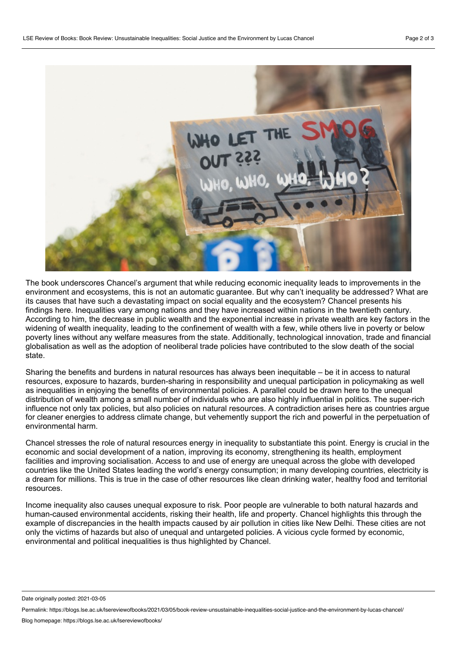

The book underscores Chancel's argument that while reducing economic inequality leads to improvements in the environment and ecosystems, this is not an automatic guarantee. But why can't inequality be addressed? What are its causes that have such a devastating impact on social equality and the ecosystem? Chancel presents his findings here. Inequalities vary among nations and they have increased within nations in the twentieth century. According to him, the decrease in public wealth and the exponential increase in private wealth are key factors in the widening of wealth inequality, leading to the confinement of wealth with a few, while others live in poverty or below poverty lines without any welfare measures from the state. Additionally, technological innovation, trade and financial globalisation as well as the adoption of neoliberal trade policies have contributed to the slow death of the social state.

Sharing the benefits and burdens in natural resources has always been inequitable – be it in access to natural resources, exposure to hazards, burden-sharing in responsibility and unequal participation in policymaking as well as inequalities in enjoying the benefits of environmental policies. A parallel could be drawn here to the unequal distribution of wealth among a small number of individuals who are also highly influential in politics. The super-rich influence not only tax policies, but also policies on natural resources. A contradiction arises here as countries argue for cleaner energies to address climate change, but vehemently support the rich and powerful in the perpetuation of environmental harm.

Chancel stresses the role of natural resources energy in inequality to substantiate this point. Energy is crucial in the economic and social development of a nation, improving its economy, strengthening its health, employment facilities and improving socialisation. Access to and use of energy are unequal across the globe with developed countries like the United States leading the world's energy consumption; in many developing countries, electricity is a dream for millions. This is true in the case of other resources like clean drinking water, healthy food and territorial resources.

Income inequality also causes unequal exposure to risk. Poor people are vulnerable to both natural hazards and human-caused environmental accidents, risking their health, life and property. Chancel highlights this through the example of discrepancies in the health impacts caused by air pollution in cities like New Delhi. These cities are not only the victims of hazards but also of unequal and untargeted policies. A vicious cycle formed by economic, environmental and political inequalities is thus highlighted by Chancel.

Date originally posted: 2021-03-05

Permalink: https://blogs.lse.ac.uk/lsereviewofbooks/2021/03/05/book-review-unsustainable-inequalities-social-justice-and-the-environment-by-lucas-chancel/